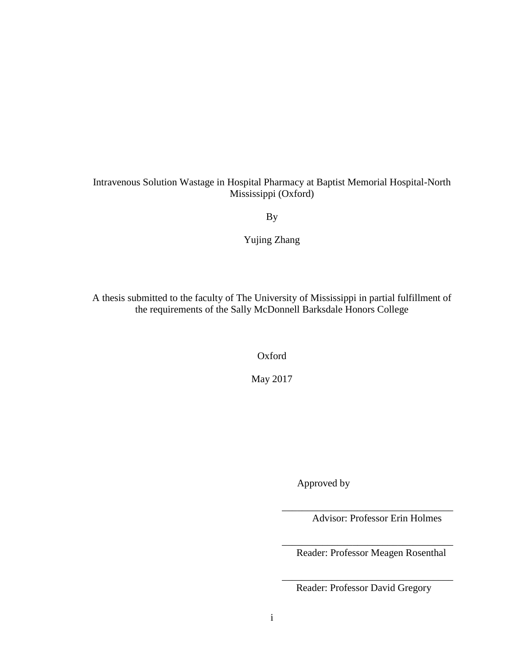# Intravenous Solution Wastage in Hospital Pharmacy at Baptist Memorial Hospital-North Mississippi (Oxford)

By

Yujing Zhang

A thesis submitted to the faculty of The University of Mississippi in partial fulfillment of the requirements of the Sally McDonnell Barksdale Honors College

Oxford

May 2017

Approved by

Advisor: Professor Erin Holmes

\_\_\_\_\_\_\_\_\_\_\_\_\_\_\_\_\_\_\_\_\_\_\_\_\_\_\_\_\_\_\_\_\_\_

\_\_\_\_\_\_\_\_\_\_\_\_\_\_\_\_\_\_\_\_\_\_\_\_\_\_\_\_\_\_\_\_\_\_ Reader: Professor Meagen Rosenthal

\_\_\_\_\_\_\_\_\_\_\_\_\_\_\_\_\_\_\_\_\_\_\_\_\_\_\_\_\_\_\_\_\_\_ Reader: Professor David Gregory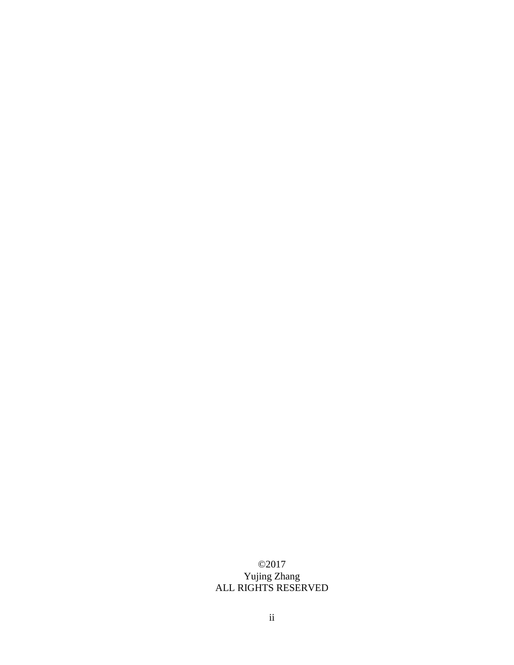## ©2017 Yujing Zhang ALL RIGHTS RESERVED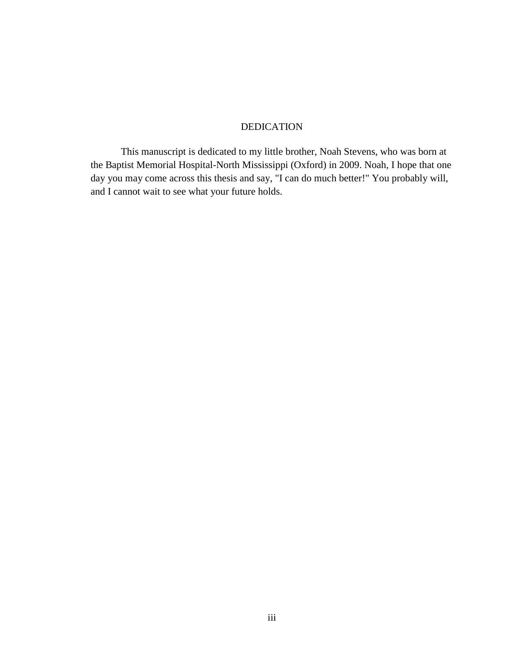## DEDICATION

This manuscript is dedicated to my little brother, Noah Stevens, who was born at the Baptist Memorial Hospital-North Mississippi (Oxford) in 2009. Noah, I hope that one day you may come across this thesis and say, "I can do much better!" You probably will, and I cannot wait to see what your future holds.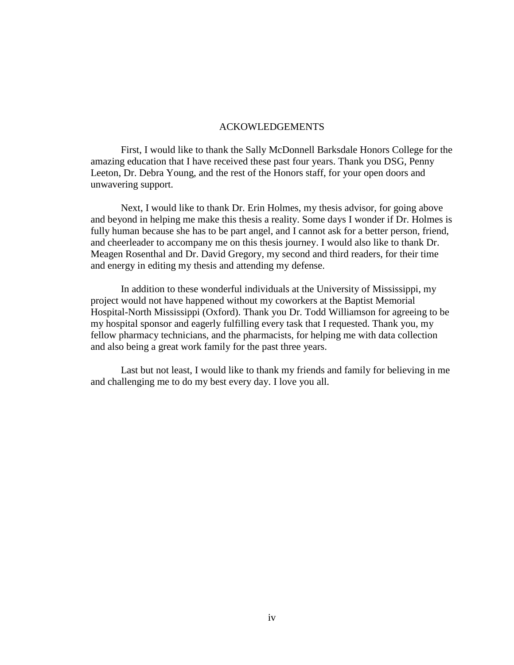## ACKOWLEDGEMENTS

First, I would like to thank the Sally McDonnell Barksdale Honors College for the amazing education that I have received these past four years. Thank you DSG, Penny Leeton, Dr. Debra Young, and the rest of the Honors staff, for your open doors and unwavering support.

Next, I would like to thank Dr. Erin Holmes, my thesis advisor, for going above and beyond in helping me make this thesis a reality. Some days I wonder if Dr. Holmes is fully human because she has to be part angel, and I cannot ask for a better person, friend, and cheerleader to accompany me on this thesis journey. I would also like to thank Dr. Meagen Rosenthal and Dr. David Gregory, my second and third readers, for their time and energy in editing my thesis and attending my defense.

In addition to these wonderful individuals at the University of Mississippi, my project would not have happened without my coworkers at the Baptist Memorial Hospital-North Mississippi (Oxford). Thank you Dr. Todd Williamson for agreeing to be my hospital sponsor and eagerly fulfilling every task that I requested. Thank you, my fellow pharmacy technicians, and the pharmacists, for helping me with data collection and also being a great work family for the past three years.

Last but not least, I would like to thank my friends and family for believing in me and challenging me to do my best every day. I love you all.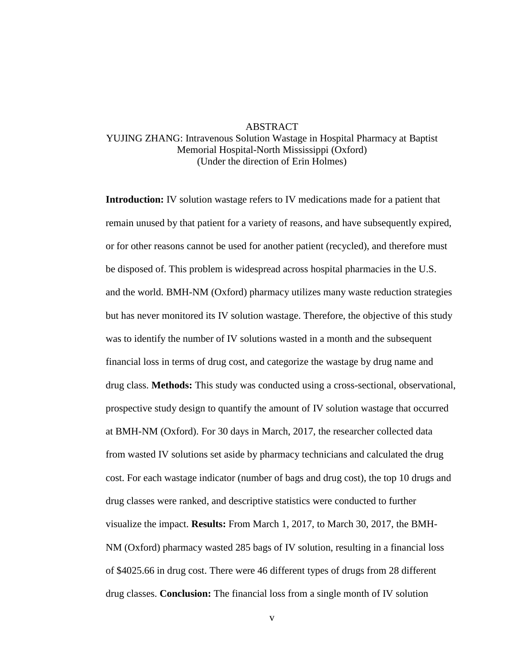## ABSTRACT

## YUJING ZHANG: Intravenous Solution Wastage in Hospital Pharmacy at Baptist Memorial Hospital-North Mississippi (Oxford) (Under the direction of Erin Holmes)

**Introduction:** IV solution wastage refers to IV medications made for a patient that remain unused by that patient for a variety of reasons, and have subsequently expired, or for other reasons cannot be used for another patient (recycled), and therefore must be disposed of. This problem is widespread across hospital pharmacies in the U.S. and the world. BMH-NM (Oxford) pharmacy utilizes many waste reduction strategies but has never monitored its IV solution wastage. Therefore, the objective of this study was to identify the number of IV solutions wasted in a month and the subsequent financial loss in terms of drug cost, and categorize the wastage by drug name and drug class. **Methods:** This study was conducted using a cross-sectional, observational, prospective study design to quantify the amount of IV solution wastage that occurred at BMH-NM (Oxford). For 30 days in March, 2017, the researcher collected data from wasted IV solutions set aside by pharmacy technicians and calculated the drug cost. For each wastage indicator (number of bags and drug cost), the top 10 drugs and drug classes were ranked, and descriptive statistics were conducted to further visualize the impact. **Results:** From March 1, 2017, to March 30, 2017, the BMH-NM (Oxford) pharmacy wasted 285 bags of IV solution, resulting in a financial loss of \$4025.66 in drug cost. There were 46 different types of drugs from 28 different drug classes. **Conclusion:** The financial loss from a single month of IV solution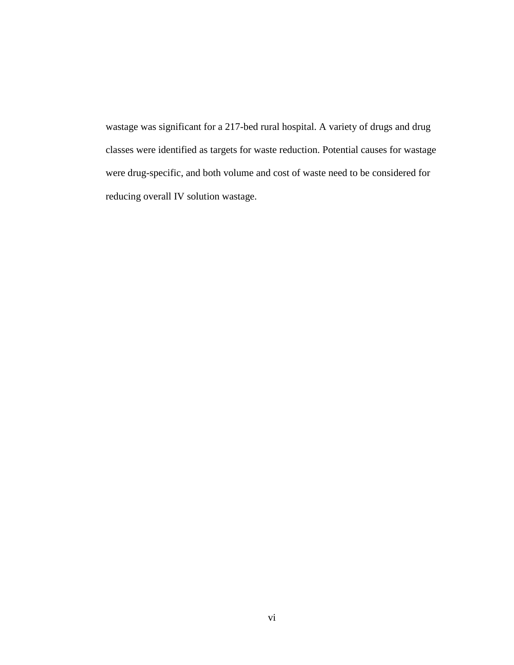wastage was significant for a 217-bed rural hospital. A variety of drugs and drug classes were identified as targets for waste reduction. Potential causes for wastage were drug-specific, and both volume and cost of waste need to be considered for reducing overall IV solution wastage.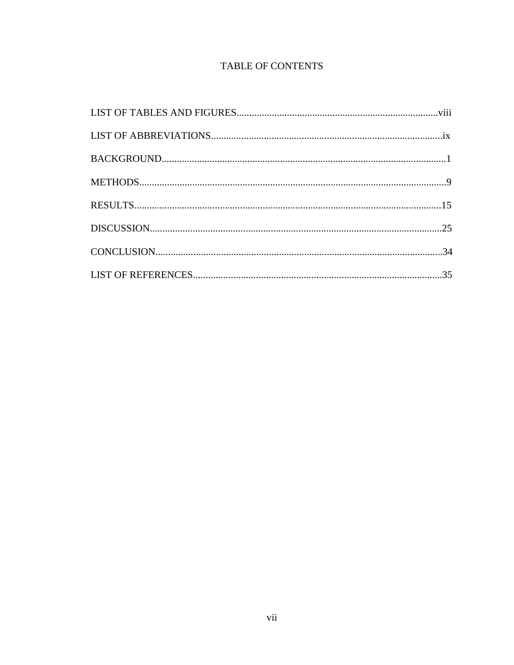# **TABLE OF CONTENTS**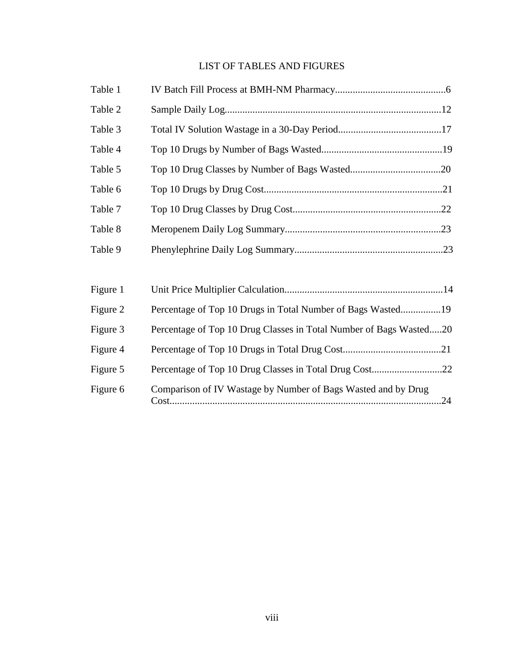# LIST OF TABLES AND FIGURES

| Table 1  |                                                                    |  |
|----------|--------------------------------------------------------------------|--|
| Table 2  |                                                                    |  |
| Table 3  |                                                                    |  |
| Table 4  |                                                                    |  |
| Table 5  |                                                                    |  |
| Table 6  |                                                                    |  |
| Table 7  |                                                                    |  |
| Table 8  |                                                                    |  |
| Table 9  |                                                                    |  |
|          |                                                                    |  |
| Figure 1 |                                                                    |  |
| Figure 2 | Percentage of Top 10 Drugs in Total Number of Bags Wasted19        |  |
| Figure 3 | Percentage of Top 10 Drug Classes in Total Number of Bags Wasted20 |  |
| Figure 4 |                                                                    |  |
| Figure 5 |                                                                    |  |
| Figure 6 | Comparison of IV Wastage by Number of Bags Wasted and by Drug      |  |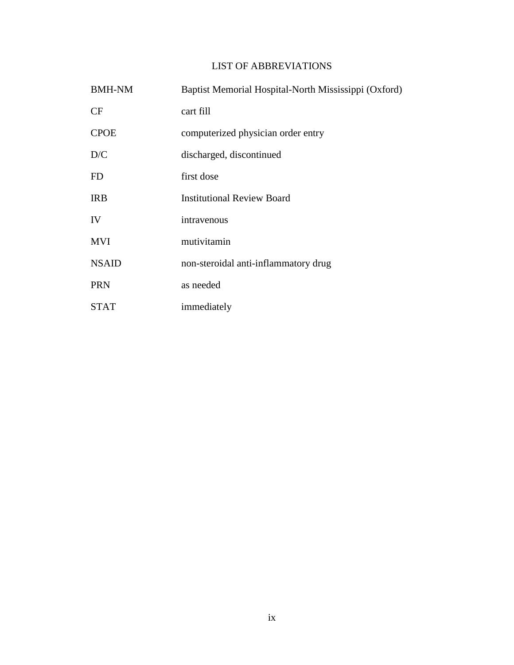## LIST OF ABBREVIATIONS

| <b>BMH-NM</b> | Baptist Memorial Hospital-North Mississippi (Oxford) |
|---------------|------------------------------------------------------|
| CF            | cart fill                                            |
| <b>CPOE</b>   | computerized physician order entry                   |
| D/C           | discharged, discontinued                             |
| FD            | first dose                                           |
| <b>IRB</b>    | <b>Institutional Review Board</b>                    |
| IV            | intravenous                                          |
| <b>MVI</b>    | mutivitamin                                          |
| <b>NSAID</b>  | non-steroidal anti-inflammatory drug                 |
| <b>PRN</b>    | as needed                                            |
| STAT          | immediately                                          |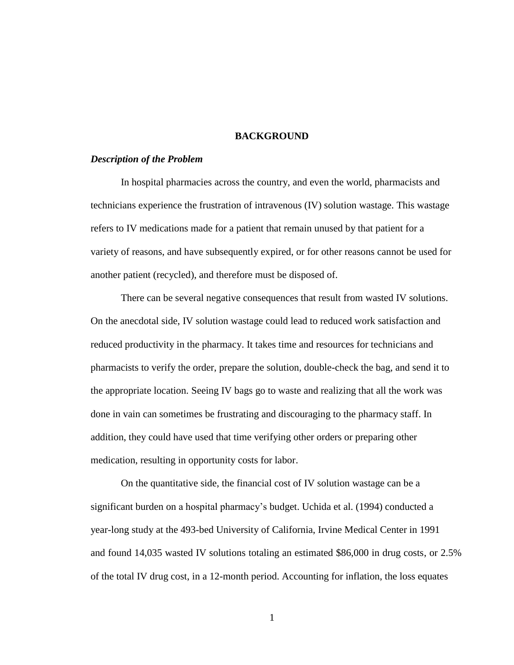## **BACKGROUND**

## *Description of the Problem*

In hospital pharmacies across the country, and even the world, pharmacists and technicians experience the frustration of intravenous (IV) solution wastage. This wastage refers to IV medications made for a patient that remain unused by that patient for a variety of reasons, and have subsequently expired, or for other reasons cannot be used for another patient (recycled), and therefore must be disposed of.

There can be several negative consequences that result from wasted IV solutions. On the anecdotal side, IV solution wastage could lead to reduced work satisfaction and reduced productivity in the pharmacy. It takes time and resources for technicians and pharmacists to verify the order, prepare the solution, double-check the bag, and send it to the appropriate location. Seeing IV bags go to waste and realizing that all the work was done in vain can sometimes be frustrating and discouraging to the pharmacy staff. In addition, they could have used that time verifying other orders or preparing other medication, resulting in opportunity costs for labor.

On the quantitative side, the financial cost of IV solution wastage can be a significant burden on a hospital pharmacy's budget. Uchida et al. (1994) conducted a year-long study at the 493-bed University of California, Irvine Medical Center in 1991 and found 14,035 wasted IV solutions totaling an estimated \$86,000 in drug costs, or 2.5% of the total IV drug cost, in a 12-month period. Accounting for inflation, the loss equates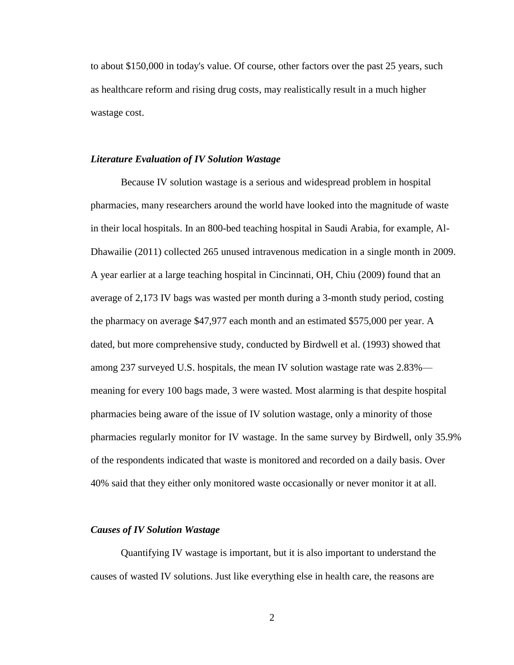to about \$150,000 in today's value. Of course, other factors over the past 25 years, such as healthcare reform and rising drug costs, may realistically result in a much higher wastage cost.

## *Literature Evaluation of IV Solution Wastage*

Because IV solution wastage is a serious and widespread problem in hospital pharmacies, many researchers around the world have looked into the magnitude of waste in their local hospitals. In an 800-bed teaching hospital in Saudi Arabia, for example, Al-Dhawailie (2011) collected 265 unused intravenous medication in a single month in 2009. A year earlier at a large teaching hospital in Cincinnati, OH, Chiu (2009) found that an average of 2,173 IV bags was wasted per month during a 3-month study period, costing the pharmacy on average \$47,977 each month and an estimated \$575,000 per year. A dated, but more comprehensive study, conducted by Birdwell et al. (1993) showed that among 237 surveyed U.S. hospitals, the mean IV solution wastage rate was 2.83% meaning for every 100 bags made, 3 were wasted. Most alarming is that despite hospital pharmacies being aware of the issue of IV solution wastage, only a minority of those pharmacies regularly monitor for IV wastage. In the same survey by Birdwell, only 35.9% of the respondents indicated that waste is monitored and recorded on a daily basis. Over 40% said that they either only monitored waste occasionally or never monitor it at all.

#### *Causes of IV Solution Wastage*

Quantifying IV wastage is important, but it is also important to understand the causes of wasted IV solutions. Just like everything else in health care, the reasons are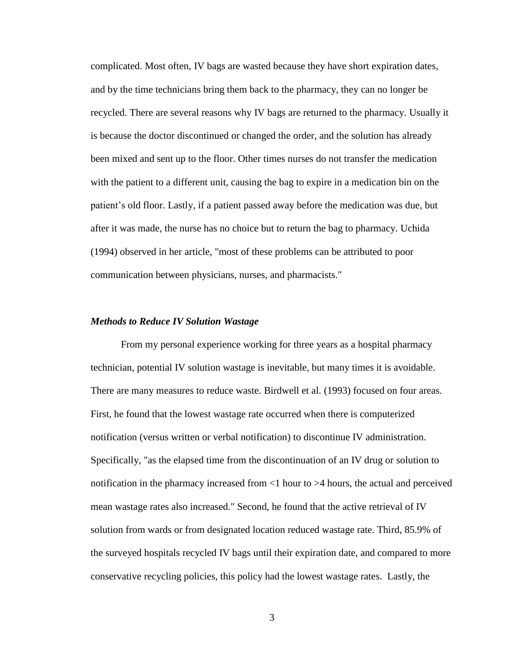complicated. Most often, IV bags are wasted because they have short expiration dates, and by the time technicians bring them back to the pharmacy, they can no longer be recycled. There are several reasons why IV bags are returned to the pharmacy. Usually it is because the doctor discontinued or changed the order, and the solution has already been mixed and sent up to the floor. Other times nurses do not transfer the medication with the patient to a different unit, causing the bag to expire in a medication bin on the patient's old floor. Lastly, if a patient passed away before the medication was due, but after it was made, the nurse has no choice but to return the bag to pharmacy. Uchida (1994) observed in her article, "most of these problems can be attributed to poor communication between physicians, nurses, and pharmacists."

#### *Methods to Reduce IV Solution Wastage*

From my personal experience working for three years as a hospital pharmacy technician, potential IV solution wastage is inevitable, but many times it is avoidable. There are many measures to reduce waste. Birdwell et al. (1993) focused on four areas. First, he found that the lowest wastage rate occurred when there is computerized notification (versus written or verbal notification) to discontinue IV administration. Specifically, "as the elapsed time from the discontinuation of an IV drug or solution to notification in the pharmacy increased from <1 hour to >4 hours, the actual and perceived mean wastage rates also increased." Second, he found that the active retrieval of IV solution from wards or from designated location reduced wastage rate. Third, 85.9% of the surveyed hospitals recycled IV bags until their expiration date, and compared to more conservative recycling policies, this policy had the lowest wastage rates. Lastly, the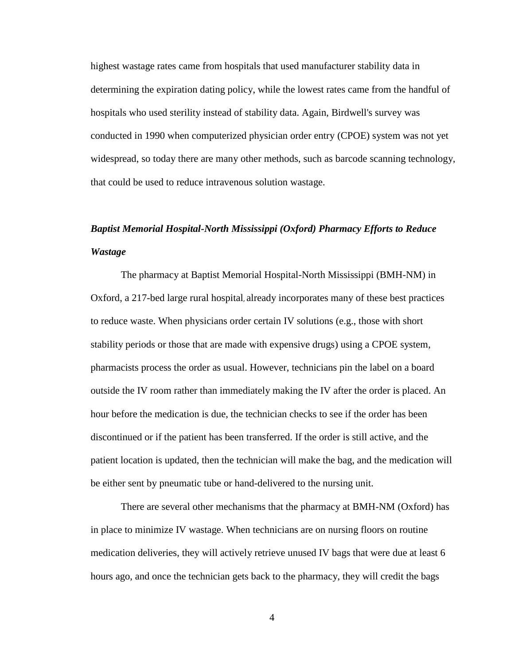highest wastage rates came from hospitals that used manufacturer stability data in determining the expiration dating policy, while the lowest rates came from the handful of hospitals who used sterility instead of stability data. Again, Birdwell's survey was conducted in 1990 when computerized physician order entry (CPOE) system was not yet widespread, so today there are many other methods, such as barcode scanning technology, that could be used to reduce intravenous solution wastage.

# *Baptist Memorial Hospital-North Mississippi (Oxford) Pharmacy Efforts to Reduce Wastage*

The pharmacy at Baptist Memorial Hospital-North Mississippi (BMH-NM) in Oxford, a 217-bed large rural hospital, already incorporates many of these best practices to reduce waste. When physicians order certain IV solutions (e.g., those with short stability periods or those that are made with expensive drugs) using a CPOE system, pharmacists process the order as usual. However, technicians pin the label on a board outside the IV room rather than immediately making the IV after the order is placed. An hour before the medication is due, the technician checks to see if the order has been discontinued or if the patient has been transferred. If the order is still active, and the patient location is updated, then the technician will make the bag, and the medication will be either sent by pneumatic tube or hand-delivered to the nursing unit.

There are several other mechanisms that the pharmacy at BMH-NM (Oxford) has in place to minimize IV wastage. When technicians are on nursing floors on routine medication deliveries, they will actively retrieve unused IV bags that were due at least 6 hours ago, and once the technician gets back to the pharmacy, they will credit the bags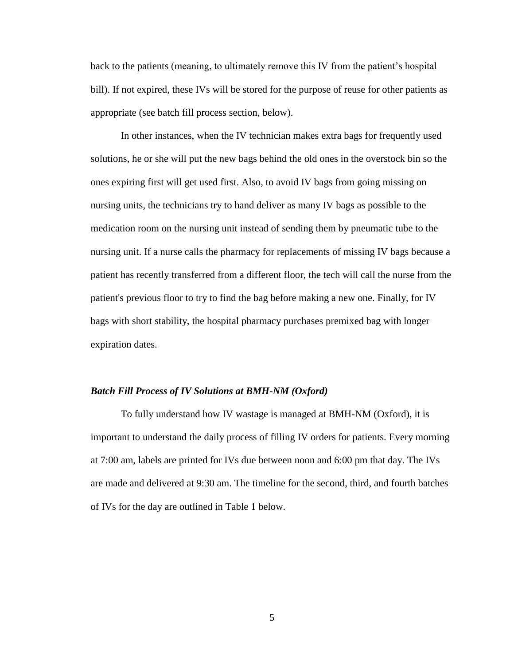back to the patients (meaning, to ultimately remove this IV from the patient's hospital bill). If not expired, these IVs will be stored for the purpose of reuse for other patients as appropriate (see batch fill process section, below).

In other instances, when the IV technician makes extra bags for frequently used solutions, he or she will put the new bags behind the old ones in the overstock bin so the ones expiring first will get used first. Also, to avoid IV bags from going missing on nursing units, the technicians try to hand deliver as many IV bags as possible to the medication room on the nursing unit instead of sending them by pneumatic tube to the nursing unit. If a nurse calls the pharmacy for replacements of missing IV bags because a patient has recently transferred from a different floor, the tech will call the nurse from the patient's previous floor to try to find the bag before making a new one. Finally, for IV bags with short stability, the hospital pharmacy purchases premixed bag with longer expiration dates.

#### *Batch Fill Process of IV Solutions at BMH-NM (Oxford)*

To fully understand how IV wastage is managed at BMH-NM (Oxford), it is important to understand the daily process of filling IV orders for patients. Every morning at 7:00 am, labels are printed for IVs due between noon and 6:00 pm that day. The IVs are made and delivered at 9:30 am. The timeline for the second, third, and fourth batches of IVs for the day are outlined in Table 1 below.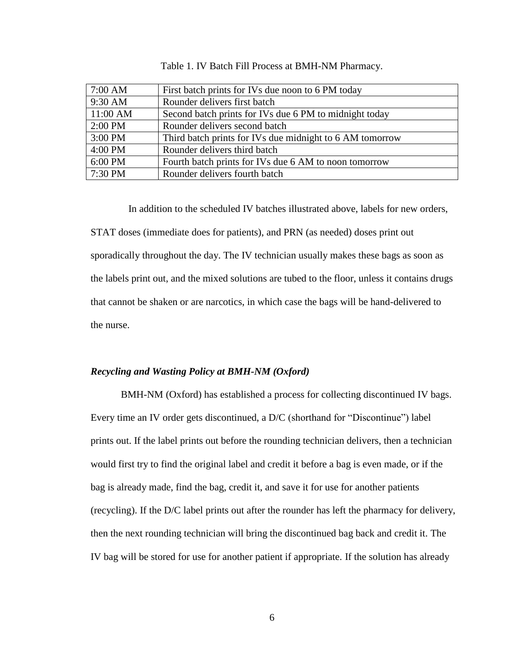| 7:00 AM  | First batch prints for IVs due noon to 6 PM today        |
|----------|----------------------------------------------------------|
| 9:30 AM  | Rounder delivers first batch                             |
| 11:00 AM | Second batch prints for IVs due 6 PM to midnight today   |
| 2:00 PM  | Rounder delivers second batch                            |
| 3:00 PM  | Third batch prints for IVs due midnight to 6 AM tomorrow |
| 4:00 PM  | Rounder delivers third batch                             |
| 6:00 PM  | Fourth batch prints for IVs due 6 AM to noon tomorrow    |
| 7:30 PM  | Rounder delivers fourth batch                            |

Table 1. IV Batch Fill Process at BMH-NM Pharmacy.

In addition to the scheduled IV batches illustrated above, labels for new orders, STAT doses (immediate does for patients), and PRN (as needed) doses print out sporadically throughout the day. The IV technician usually makes these bags as soon as the labels print out, and the mixed solutions are tubed to the floor, unless it contains drugs that cannot be shaken or are narcotics, in which case the bags will be hand-delivered to the nurse.

## *Recycling and Wasting Policy at BMH-NM (Oxford)*

BMH-NM (Oxford) has established a process for collecting discontinued IV bags. Every time an IV order gets discontinued, a D/C (shorthand for "Discontinue") label prints out. If the label prints out before the rounding technician delivers, then a technician would first try to find the original label and credit it before a bag is even made, or if the bag is already made, find the bag, credit it, and save it for use for another patients (recycling). If the D/C label prints out after the rounder has left the pharmacy for delivery, then the next rounding technician will bring the discontinued bag back and credit it. The IV bag will be stored for use for another patient if appropriate. If the solution has already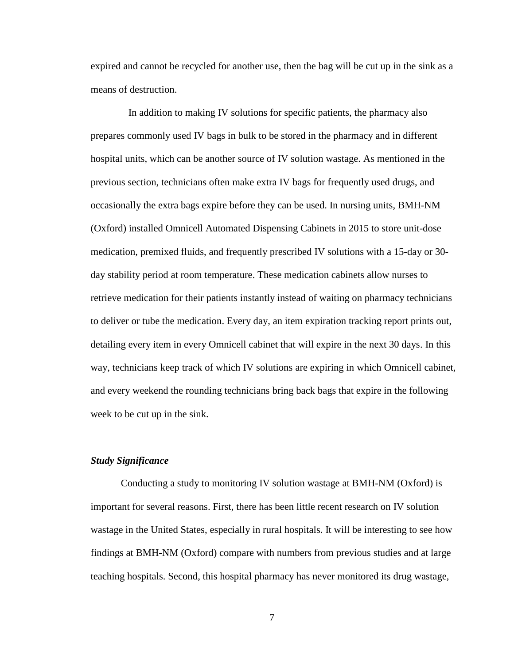expired and cannot be recycled for another use, then the bag will be cut up in the sink as a means of destruction.

In addition to making IV solutions for specific patients, the pharmacy also prepares commonly used IV bags in bulk to be stored in the pharmacy and in different hospital units, which can be another source of IV solution wastage. As mentioned in the previous section, technicians often make extra IV bags for frequently used drugs, and occasionally the extra bags expire before they can be used. In nursing units, BMH-NM (Oxford) installed Omnicell Automated Dispensing Cabinets in 2015 to store unit-dose medication, premixed fluids, and frequently prescribed IV solutions with a 15-day or 30 day stability period at room temperature. These medication cabinets allow nurses to retrieve medication for their patients instantly instead of waiting on pharmacy technicians to deliver or tube the medication. Every day, an item expiration tracking report prints out, detailing every item in every Omnicell cabinet that will expire in the next 30 days. In this way, technicians keep track of which IV solutions are expiring in which Omnicell cabinet, and every weekend the rounding technicians bring back bags that expire in the following week to be cut up in the sink.

## *Study Significance*

Conducting a study to monitoring IV solution wastage at BMH-NM (Oxford) is important for several reasons. First, there has been little recent research on IV solution wastage in the United States, especially in rural hospitals. It will be interesting to see how findings at BMH-NM (Oxford) compare with numbers from previous studies and at large teaching hospitals. Second, this hospital pharmacy has never monitored its drug wastage,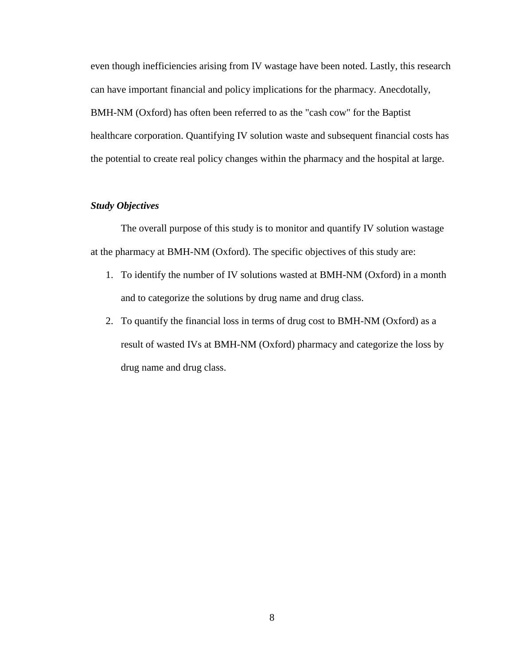even though inefficiencies arising from IV wastage have been noted. Lastly, this research can have important financial and policy implications for the pharmacy. Anecdotally, BMH-NM (Oxford) has often been referred to as the "cash cow" for the Baptist healthcare corporation. Quantifying IV solution waste and subsequent financial costs has the potential to create real policy changes within the pharmacy and the hospital at large.

## *Study Objectives*

The overall purpose of this study is to monitor and quantify IV solution wastage at the pharmacy at BMH-NM (Oxford). The specific objectives of this study are:

- 1. To identify the number of IV solutions wasted at BMH-NM (Oxford) in a month and to categorize the solutions by drug name and drug class.
- 2. To quantify the financial loss in terms of drug cost to BMH-NM (Oxford) as a result of wasted IVs at BMH-NM (Oxford) pharmacy and categorize the loss by drug name and drug class.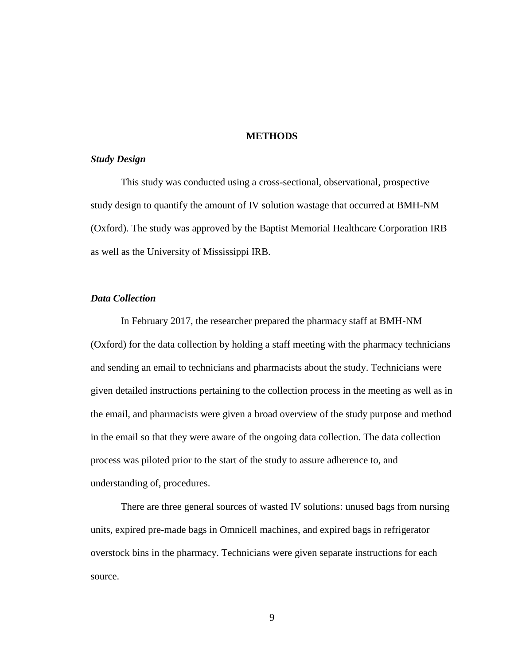## **METHODS**

## *Study Design*

This study was conducted using a cross-sectional, observational, prospective study design to quantify the amount of IV solution wastage that occurred at BMH-NM (Oxford). The study was approved by the Baptist Memorial Healthcare Corporation IRB as well as the University of Mississippi IRB.

## *Data Collection*

In February 2017, the researcher prepared the pharmacy staff at BMH-NM (Oxford) for the data collection by holding a staff meeting with the pharmacy technicians and sending an email to technicians and pharmacists about the study. Technicians were given detailed instructions pertaining to the collection process in the meeting as well as in the email, and pharmacists were given a broad overview of the study purpose and method in the email so that they were aware of the ongoing data collection. The data collection process was piloted prior to the start of the study to assure adherence to, and understanding of, procedures.

There are three general sources of wasted IV solutions: unused bags from nursing units, expired pre-made bags in Omnicell machines, and expired bags in refrigerator overstock bins in the pharmacy. Technicians were given separate instructions for each source.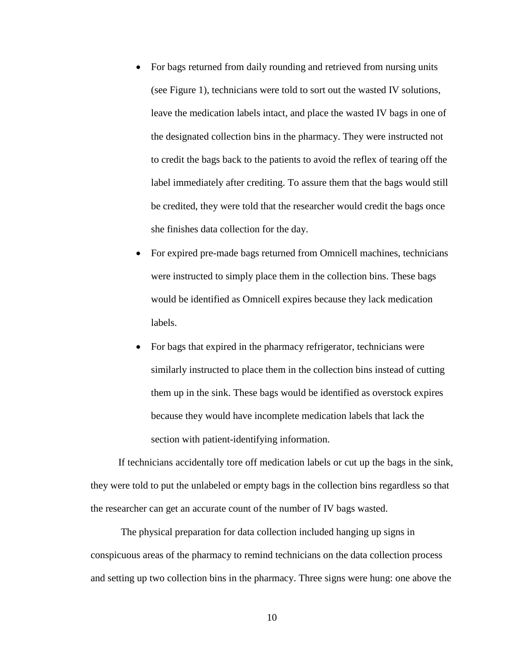- For bags returned from daily rounding and retrieved from nursing units (see Figure 1), technicians were told to sort out the wasted IV solutions, leave the medication labels intact, and place the wasted IV bags in one of the designated collection bins in the pharmacy. They were instructed not to credit the bags back to the patients to avoid the reflex of tearing off the label immediately after crediting. To assure them that the bags would still be credited, they were told that the researcher would credit the bags once she finishes data collection for the day.
- For expired pre-made bags returned from Omnicell machines, technicians were instructed to simply place them in the collection bins. These bags would be identified as Omnicell expires because they lack medication labels.
- For bags that expired in the pharmacy refrigerator, technicians were similarly instructed to place them in the collection bins instead of cutting them up in the sink. These bags would be identified as overstock expires because they would have incomplete medication labels that lack the section with patient-identifying information.

If technicians accidentally tore off medication labels or cut up the bags in the sink, they were told to put the unlabeled or empty bags in the collection bins regardless so that the researcher can get an accurate count of the number of IV bags wasted.

The physical preparation for data collection included hanging up signs in conspicuous areas of the pharmacy to remind technicians on the data collection process and setting up two collection bins in the pharmacy. Three signs were hung: one above the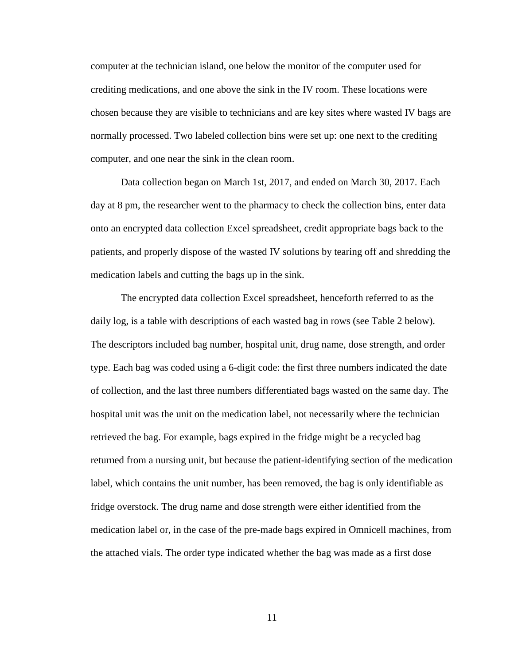computer at the technician island, one below the monitor of the computer used for crediting medications, and one above the sink in the IV room. These locations were chosen because they are visible to technicians and are key sites where wasted IV bags are normally processed. Two labeled collection bins were set up: one next to the crediting computer, and one near the sink in the clean room.

Data collection began on March 1st, 2017, and ended on March 30, 2017. Each day at 8 pm, the researcher went to the pharmacy to check the collection bins, enter data onto an encrypted data collection Excel spreadsheet, credit appropriate bags back to the patients, and properly dispose of the wasted IV solutions by tearing off and shredding the medication labels and cutting the bags up in the sink.

The encrypted data collection Excel spreadsheet, henceforth referred to as the daily log, is a table with descriptions of each wasted bag in rows (see Table 2 below). The descriptors included bag number, hospital unit, drug name, dose strength, and order type. Each bag was coded using a 6-digit code: the first three numbers indicated the date of collection, and the last three numbers differentiated bags wasted on the same day. The hospital unit was the unit on the medication label, not necessarily where the technician retrieved the bag. For example, bags expired in the fridge might be a recycled bag returned from a nursing unit, but because the patient-identifying section of the medication label, which contains the unit number, has been removed, the bag is only identifiable as fridge overstock. The drug name and dose strength were either identified from the medication label or, in the case of the pre-made bags expired in Omnicell machines, from the attached vials. The order type indicated whether the bag was made as a first dose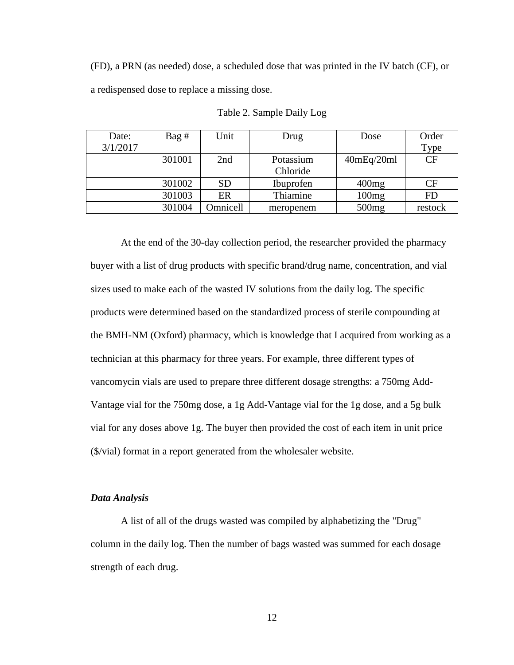(FD), a PRN (as needed) dose, a scheduled dose that was printed in the IV batch (CF), or a redispensed dose to replace a missing dose.

| Date:    | Bag#   | Unit            | Drug             | Dose       | Order     |
|----------|--------|-----------------|------------------|------------|-----------|
| 3/1/2017 |        |                 |                  |            | Type      |
|          | 301001 | 2nd             | Potassium        | 40mEq/20ml | CF        |
|          |        |                 | Chloride         |            |           |
|          | 301002 | <b>SD</b>       | <b>Ibuprofen</b> | 400mg      | <b>CF</b> |
|          | 301003 | ER              | Thiamine         | 100mg      | FD        |
|          | 301004 | <b>Dmnicell</b> | meropenem        | 500mg      | restock   |

Table 2. Sample Daily Log

At the end of the 30-day collection period, the researcher provided the pharmacy buyer with a list of drug products with specific brand/drug name, concentration, and vial sizes used to make each of the wasted IV solutions from the daily log. The specific products were determined based on the standardized process of sterile compounding at the BMH-NM (Oxford) pharmacy, which is knowledge that I acquired from working as a technician at this pharmacy for three years. For example, three different types of vancomycin vials are used to prepare three different dosage strengths: a 750mg Add-Vantage vial for the 750mg dose, a 1g Add-Vantage vial for the 1g dose, and a 5g bulk vial for any doses above 1g. The buyer then provided the cost of each item in unit price (\$/vial) format in a report generated from the wholesaler website.

## *Data Analysis*

A list of all of the drugs wasted was compiled by alphabetizing the "Drug" column in the daily log. Then the number of bags wasted was summed for each dosage strength of each drug.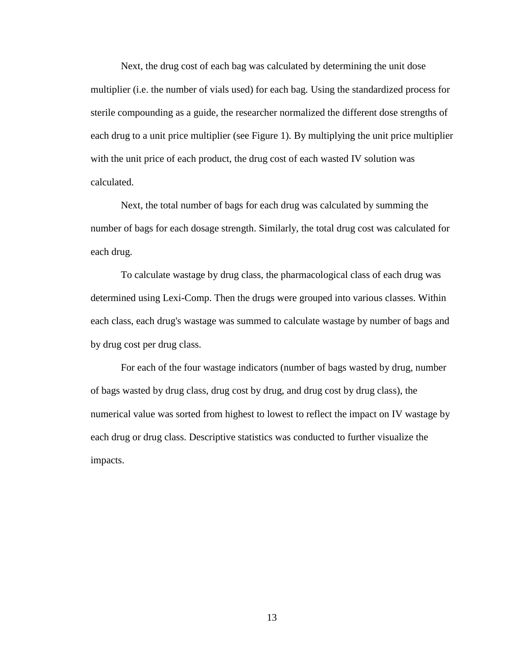Next, the drug cost of each bag was calculated by determining the unit dose multiplier (i.e. the number of vials used) for each bag. Using the standardized process for sterile compounding as a guide, the researcher normalized the different dose strengths of each drug to a unit price multiplier (see Figure 1). By multiplying the unit price multiplier with the unit price of each product, the drug cost of each wasted IV solution was calculated.

Next, the total number of bags for each drug was calculated by summing the number of bags for each dosage strength. Similarly, the total drug cost was calculated for each drug.

To calculate wastage by drug class, the pharmacological class of each drug was determined using Lexi-Comp. Then the drugs were grouped into various classes. Within each class, each drug's wastage was summed to calculate wastage by number of bags and by drug cost per drug class.

For each of the four wastage indicators (number of bags wasted by drug, number of bags wasted by drug class, drug cost by drug, and drug cost by drug class), the numerical value was sorted from highest to lowest to reflect the impact on IV wastage by each drug or drug class. Descriptive statistics was conducted to further visualize the impacts.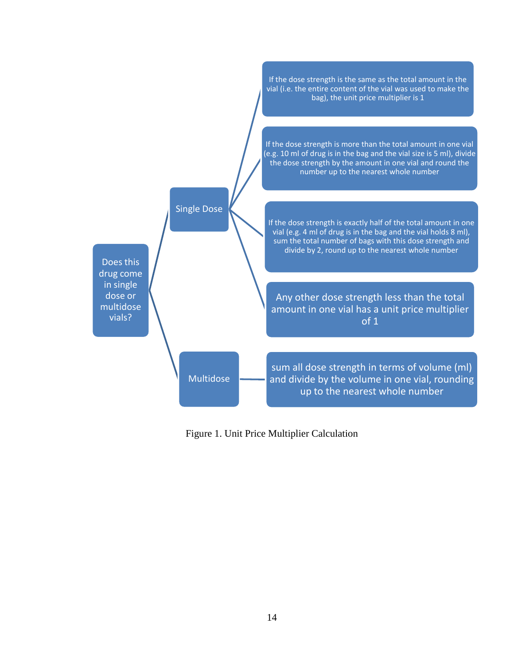

Figure 1. Unit Price Multiplier Calculation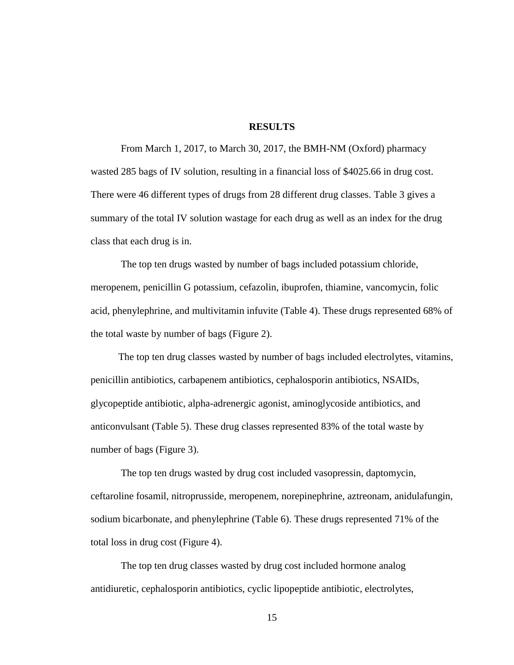## **RESULTS**

From March 1, 2017, to March 30, 2017, the BMH-NM (Oxford) pharmacy wasted 285 bags of IV solution, resulting in a financial loss of \$4025.66 in drug cost. There were 46 different types of drugs from 28 different drug classes. Table 3 gives a summary of the total IV solution wastage for each drug as well as an index for the drug class that each drug is in.

The top ten drugs wasted by number of bags included potassium chloride, meropenem, penicillin G potassium, cefazolin, ibuprofen, thiamine, vancomycin, folic acid, phenylephrine, and multivitamin infuvite (Table 4). These drugs represented 68% of the total waste by number of bags (Figure 2).

The top ten drug classes wasted by number of bags included electrolytes, vitamins, penicillin antibiotics, carbapenem antibiotics, cephalosporin antibiotics, NSAIDs, glycopeptide antibiotic, alpha-adrenergic agonist, aminoglycoside antibiotics, and anticonvulsant (Table 5). These drug classes represented 83% of the total waste by number of bags (Figure 3).

The top ten drugs wasted by drug cost included vasopressin, daptomycin, ceftaroline fosamil, nitroprusside, meropenem, norepinephrine, aztreonam, anidulafungin, sodium bicarbonate, and phenylephrine (Table 6). These drugs represented 71% of the total loss in drug cost (Figure 4).

The top ten drug classes wasted by drug cost included hormone analog antidiuretic, cephalosporin antibiotics, cyclic lipopeptide antibiotic, electrolytes,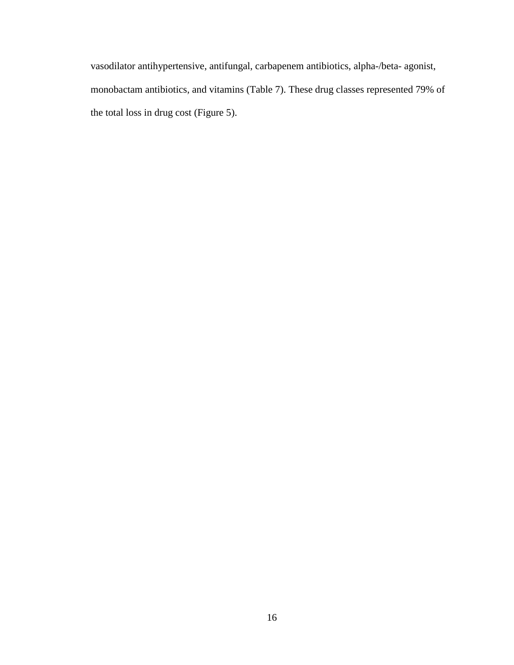vasodilator antihypertensive, antifungal, carbapenem antibiotics, alpha-/beta- agonist, monobactam antibiotics, and vitamins (Table 7). These drug classes represented 79% of the total loss in drug cost (Figure 5).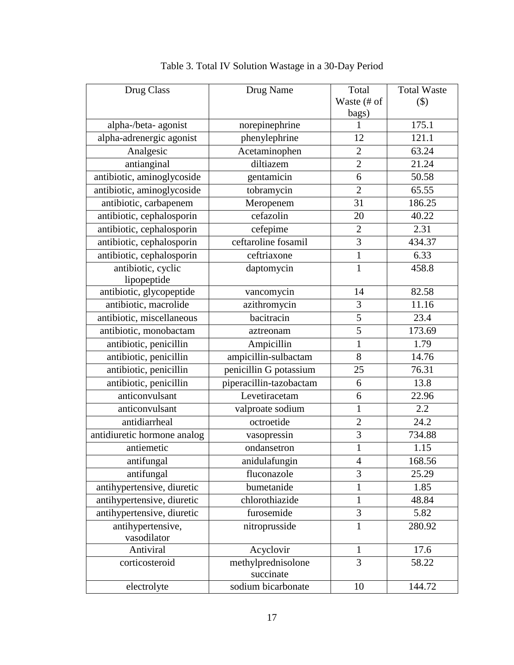| Drug Class                        | Drug Name                       | Total          | <b>Total Waste</b> |
|-----------------------------------|---------------------------------|----------------|--------------------|
|                                   |                                 | Waste (# of    | $(\$)$             |
|                                   |                                 | bags)          |                    |
| alpha-/beta- agonist              | norepinephrine                  | L              | 175.1              |
| alpha-adrenergic agonist          | phenylephrine                   | 12             | 121.1              |
| Analgesic                         | Acetaminophen                   | $\overline{2}$ | 63.24              |
| antianginal                       | diltiazem                       | $\overline{2}$ | 21.24              |
| antibiotic, aminoglycoside        | gentamicin                      | 6              | 50.58              |
| antibiotic, aminoglycoside        | tobramycin                      | $\overline{2}$ | 65.55              |
| antibiotic, carbapenem            | Meropenem                       | 31             | 186.25             |
| antibiotic, cephalosporin         | cefazolin                       | 20             | 40.22              |
| antibiotic, cephalosporin         | cefepime                        | $\overline{2}$ | 2.31               |
| antibiotic, cephalosporin         | ceftaroline fosamil             | 3              | 434.37             |
| antibiotic, cephalosporin         | ceftriaxone                     | $\mathbf{1}$   | 6.33               |
| antibiotic, cyclic<br>lipopeptide | daptomycin                      | $\mathbf{1}$   | 458.8              |
| antibiotic, glycopeptide          | vancomycin                      | 14             | 82.58              |
| antibiotic, macrolide             | azithromycin                    | $\mathfrak{Z}$ | 11.16              |
| antibiotic, miscellaneous         | bacitracin                      | 5              | 23.4               |
| antibiotic, monobactam            | aztreonam                       | $\overline{5}$ | 173.69             |
| antibiotic, penicillin            | Ampicillin                      | $\mathbf{1}$   | 1.79               |
| antibiotic, penicillin            | ampicillin-sulbactam            | 8              | 14.76              |
| antibiotic, penicillin            | penicillin G potassium          | 25             | 76.31              |
| antibiotic, penicillin            | piperacillin-tazobactam         | 6              | 13.8               |
| anticonvulsant                    | Levetiracetam                   | 6              | 22.96              |
| anticonvulsant                    | valproate sodium                | $\mathbf{1}$   | 2.2                |
| antidiarrheal                     | octroetide                      | $\overline{2}$ | 24.2               |
| antidiuretic hormone analog       | vasopressin                     | 3              | 734.88             |
| antiemetic                        | ondansetron                     | $\mathbf{1}$   | 1.15               |
| antifungal                        | anidulafungin                   | $\overline{4}$ | 168.56             |
| antifungal                        | fluconazole                     | 3              | 25.29              |
| antihypertensive, diuretic        | bumetanide                      | $\mathbf{1}$   | 1.85               |
| antihypertensive, diuretic        | chlorothiazide                  | $\mathbf{1}$   | 48.84              |
| antihypertensive, diuretic        | furosemide                      | 3              | 5.82               |
| antihypertensive,<br>vasodilator  | nitroprusside                   | $\mathbf{1}$   | 280.92             |
| Antiviral                         | Acyclovir                       | 1              | 17.6               |
| corticosteroid                    | methylprednisolone<br>succinate | $\overline{3}$ | 58.22              |
| electrolyte                       | sodium bicarbonate              | 10             | 144.72             |

|  |  |  | Table 3. Total IV Solution Wastage in a 30-Day Period |
|--|--|--|-------------------------------------------------------|
|--|--|--|-------------------------------------------------------|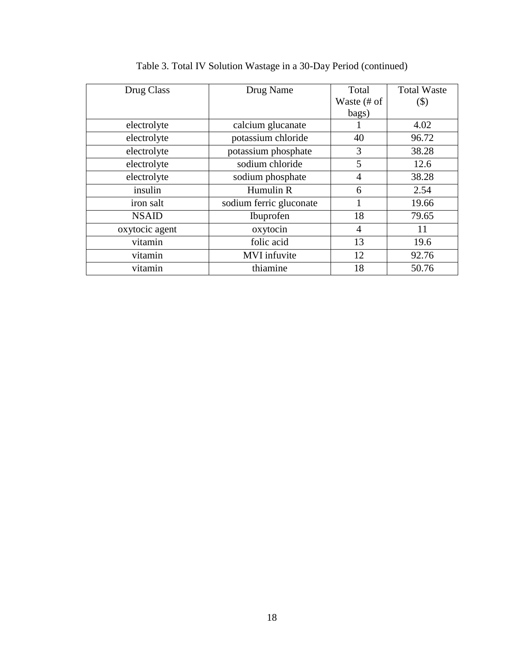| Drug Class     | Drug Name               | Total          | <b>Total Waste</b> |
|----------------|-------------------------|----------------|--------------------|
|                |                         | Waste (# of    | $(\$)$             |
|                |                         | bags)          |                    |
| electrolyte    | calcium glucanate       |                | 4.02               |
| electrolyte    | potassium chloride      | 40             | 96.72              |
| electrolyte    | potassium phosphate     | 3              | 38.28              |
| electrolyte    | sodium chloride         | 5              | 12.6               |
| electrolyte    | sodium phosphate        | 4              | 38.28              |
| insulin        | Humulin R               | 6              | 2.54               |
| iron salt      | sodium ferric gluconate |                | 19.66              |
| <b>NSAID</b>   | Ibuprofen               | 18             | 79.65              |
| oxytocic agent | oxytocin                | $\overline{4}$ | 11                 |
| vitamin        | folic acid              | 13             | 19.6               |
| vitamin        | <b>MVI</b> infuvite     | 12             | 92.76              |
| vitamin        | thiamine                | 18             | 50.76              |

Table 3. Total IV Solution Wastage in a 30-Day Period (continued)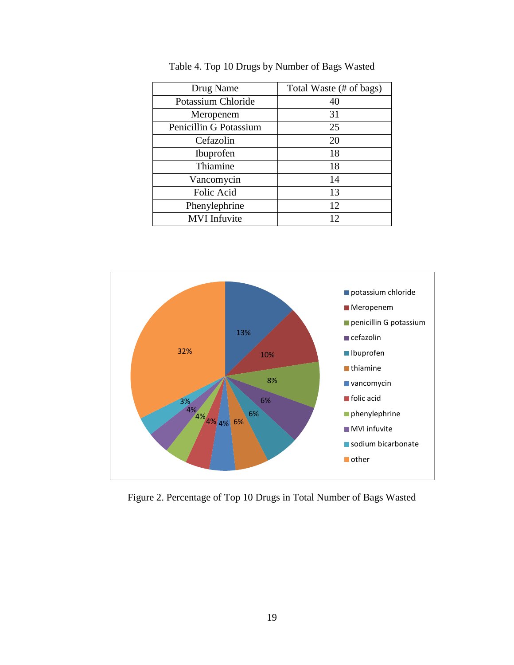| Drug Name              | Total Waste (# of bags) |
|------------------------|-------------------------|
| Potassium Chloride     | 40                      |
| Meropenem              | 31                      |
| Penicillin G Potassium | 25                      |
| Cefazolin              | 20                      |
| Ibuprofen              | 18                      |
| Thiamine               | 18                      |
| Vancomycin             | 14                      |
| Folic Acid             | 13                      |
| Phenylephrine          | 12                      |
| <b>MVI</b> Infuvite    | 12                      |

Table 4. Top 10 Drugs by Number of Bags Wasted



Figure 2. Percentage of Top 10 Drugs in Total Number of Bags Wasted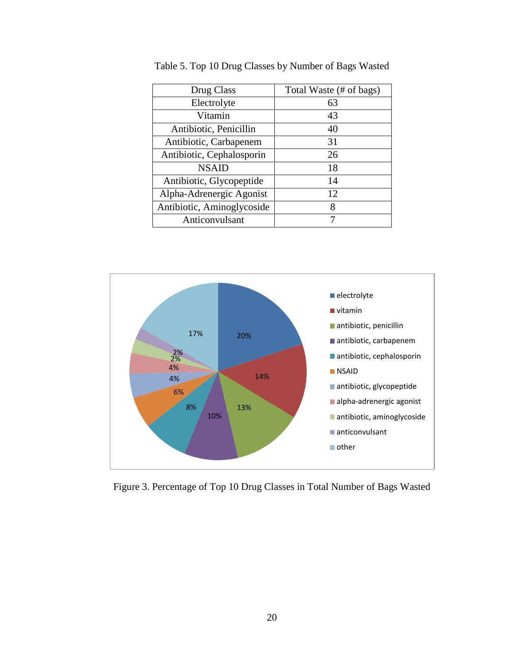| Drug Class                 | Total Waste (# of bags) |
|----------------------------|-------------------------|
| Electrolyte                | 63                      |
| Vitamin                    | 43                      |
| Antibiotic, Penicillin     | 40                      |
| Antibiotic, Carbapenem     | 31                      |
| Antibiotic, Cephalosporin  | 26                      |
| <b>NSAID</b>               | 18                      |
| Antibiotic, Glycopeptide   | 14                      |
| Alpha-Adrenergic Agonist   | 12                      |
| Antibiotic, Aminoglycoside | 8                       |
| Anticonvulsant             |                         |

Table 5. Top 10 Drug Classes by Number of Bags Wasted



Figure 3. Percentage of Top 10 Drug Classes in Total Number of Bags Wasted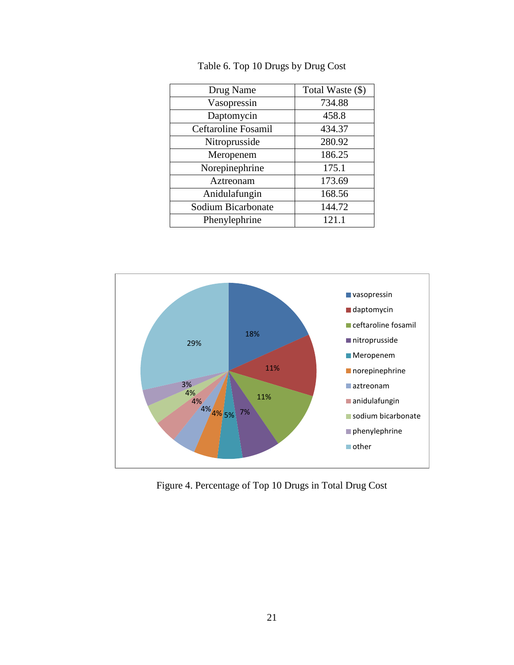| Drug Name           | Total Waste (\$) |
|---------------------|------------------|
| Vasopressin         | 734.88           |
| Daptomycin          | 458.8            |
| Ceftaroline Fosamil | 434.37           |
| Nitroprusside       | 280.92           |
| Meropenem           | 186.25           |
| Norepinephrine      | 175.1            |
| Aztreonam           | 173.69           |
| Anidulafungin       | 168.56           |
| Sodium Bicarbonate  | 144.72           |
| Phenylephrine       | 121.1            |

Table 6. Top 10 Drugs by Drug Cost



Figure 4. Percentage of Top 10 Drugs in Total Drug Cost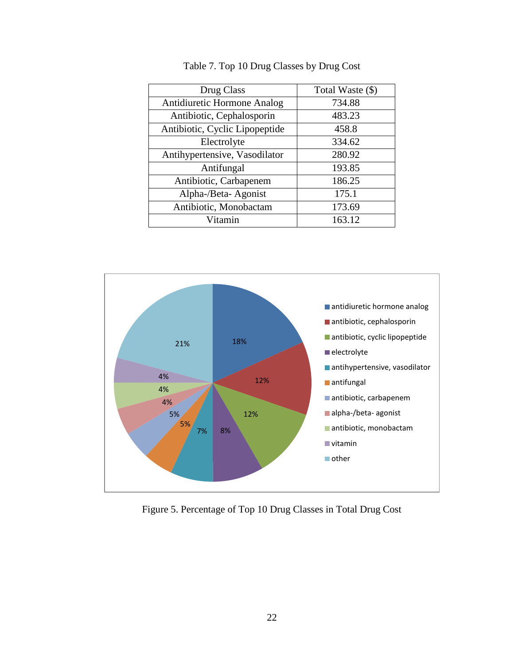| Drug Class                         | Total Waste (\$) |
|------------------------------------|------------------|
| <b>Antidiuretic Hormone Analog</b> | 734.88           |
| Antibiotic, Cephalosporin          | 483.23           |
| Antibiotic, Cyclic Lipopeptide     | 458.8            |
| Electrolyte                        | 334.62           |
| Antihypertensive, Vasodilator      | 280.92           |
| Antifungal                         | 193.85           |
| Antibiotic, Carbapenem             | 186.25           |
| Alpha-/Beta-Agonist                | 175.1            |
| Antibiotic, Monobactam             | 173.69           |
| Vitamin                            | 163.12           |



Figure 5. Percentage of Top 10 Drug Classes in Total Drug Cost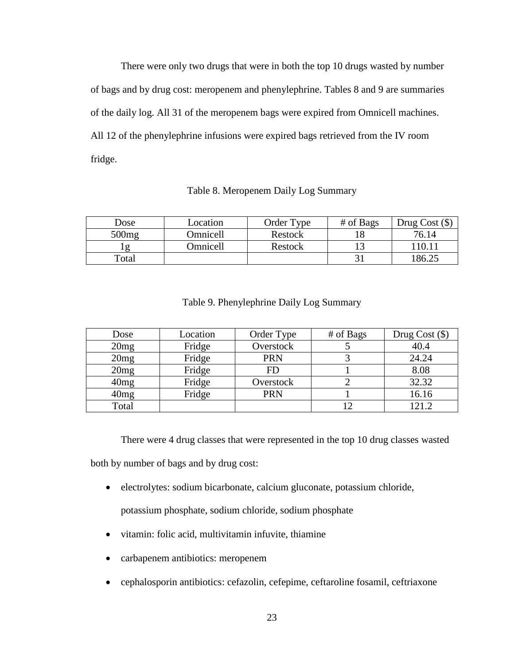There were only two drugs that were in both the top 10 drugs wasted by number of bags and by drug cost: meropenem and phenylephrine. Tables 8 and 9 are summaries of the daily log. All 31 of the meropenem bags were expired from Omnicell machines. All 12 of the phenylephrine infusions were expired bags retrieved from the IV room fridge.

## Table 8. Meropenem Daily Log Summary

| Dose     | Location | Order Type | # of Bags | Drug Cost $(\$)$   |
|----------|----------|------------|-----------|--------------------|
| 500mg    | Omnicell | Restock    |           | 76.14              |
| $\sigma$ | Omnicell | Restock    |           | 110.1 <sub>1</sub> |
| Total    |          |            |           | 186.25             |

## Table 9. Phenylephrine Daily Log Summary

| Dose  | Location | Order Type | # of Bags | Drug Cost $(\$)$ |
|-------|----------|------------|-----------|------------------|
| 20mg  | Fridge   | Overstock  |           | 40.4             |
| 20mg  | Fridge   | <b>PRN</b> |           | 24.24            |
| 20mg  | Fridge   | FD         |           | 8.08             |
| 40mg  | Fridge   | Overstock  |           | 32.32            |
| 40mg  | Fridge   | <b>PRN</b> |           | 16.16            |
| Total |          |            |           | 121 2            |

There were 4 drug classes that were represented in the top 10 drug classes wasted

both by number of bags and by drug cost:

electrolytes: sodium bicarbonate, calcium gluconate, potassium chloride,

potassium phosphate, sodium chloride, sodium phosphate

- vitamin: folic acid, multivitamin infuvite, thiamine
- carbapenem antibiotics: meropenem
- cephalosporin antibiotics: cefazolin, cefepime, ceftaroline fosamil, ceftriaxone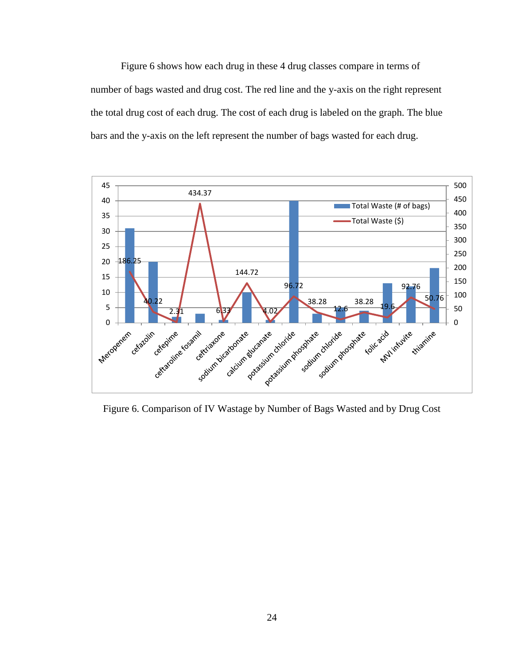Figure 6 shows how each drug in these 4 drug classes compare in terms of number of bags wasted and drug cost. The red line and the y-axis on the right represent the total drug cost of each drug. The cost of each drug is labeled on the graph. The blue bars and the y-axis on the left represent the number of bags wasted for each drug.



Figure 6. Comparison of IV Wastage by Number of Bags Wasted and by Drug Cost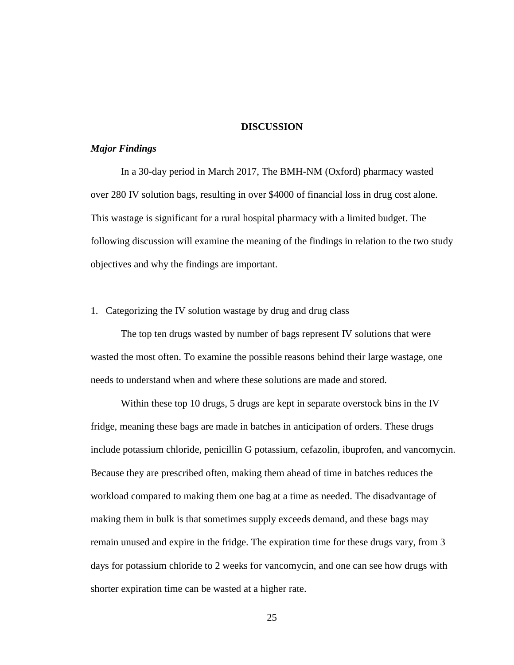## **DISCUSSION**

## *Major Findings*

In a 30-day period in March 2017, The BMH-NM (Oxford) pharmacy wasted over 280 IV solution bags, resulting in over \$4000 of financial loss in drug cost alone. This wastage is significant for a rural hospital pharmacy with a limited budget. The following discussion will examine the meaning of the findings in relation to the two study objectives and why the findings are important.

## 1. Categorizing the IV solution wastage by drug and drug class

The top ten drugs wasted by number of bags represent IV solutions that were wasted the most often. To examine the possible reasons behind their large wastage, one needs to understand when and where these solutions are made and stored.

Within these top 10 drugs, 5 drugs are kept in separate overstock bins in the IV fridge, meaning these bags are made in batches in anticipation of orders. These drugs include potassium chloride, penicillin G potassium, cefazolin, ibuprofen, and vancomycin. Because they are prescribed often, making them ahead of time in batches reduces the workload compared to making them one bag at a time as needed. The disadvantage of making them in bulk is that sometimes supply exceeds demand, and these bags may remain unused and expire in the fridge. The expiration time for these drugs vary, from 3 days for potassium chloride to 2 weeks for vancomycin, and one can see how drugs with shorter expiration time can be wasted at a higher rate.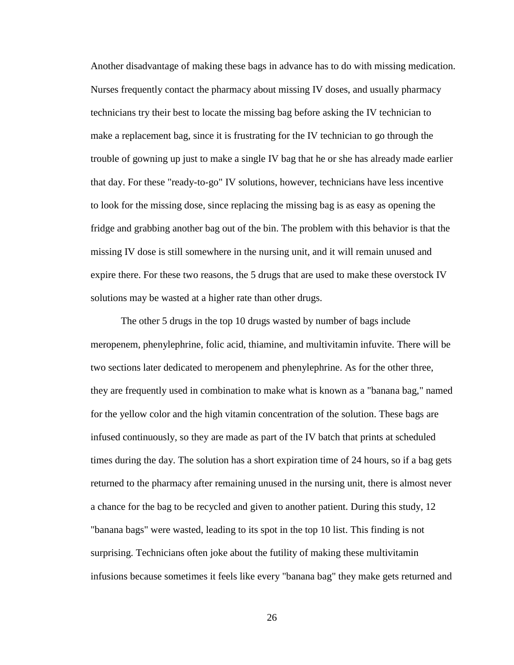Another disadvantage of making these bags in advance has to do with missing medication. Nurses frequently contact the pharmacy about missing IV doses, and usually pharmacy technicians try their best to locate the missing bag before asking the IV technician to make a replacement bag, since it is frustrating for the IV technician to go through the trouble of gowning up just to make a single IV bag that he or she has already made earlier that day. For these "ready-to-go" IV solutions, however, technicians have less incentive to look for the missing dose, since replacing the missing bag is as easy as opening the fridge and grabbing another bag out of the bin. The problem with this behavior is that the missing IV dose is still somewhere in the nursing unit, and it will remain unused and expire there. For these two reasons, the 5 drugs that are used to make these overstock IV solutions may be wasted at a higher rate than other drugs.

The other 5 drugs in the top 10 drugs wasted by number of bags include meropenem, phenylephrine, folic acid, thiamine, and multivitamin infuvite. There will be two sections later dedicated to meropenem and phenylephrine. As for the other three, they are frequently used in combination to make what is known as a "banana bag," named for the yellow color and the high vitamin concentration of the solution. These bags are infused continuously, so they are made as part of the IV batch that prints at scheduled times during the day. The solution has a short expiration time of 24 hours, so if a bag gets returned to the pharmacy after remaining unused in the nursing unit, there is almost never a chance for the bag to be recycled and given to another patient. During this study, 12 "banana bags" were wasted, leading to its spot in the top 10 list. This finding is not surprising. Technicians often joke about the futility of making these multivitamin infusions because sometimes it feels like every "banana bag" they make gets returned and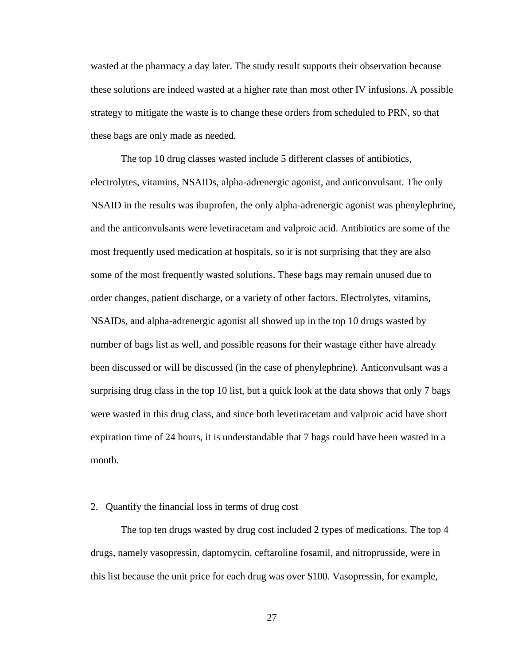wasted at the pharmacy a day later. The study result supports their observation because these solutions are indeed wasted at a higher rate than most other IV infusions. A possible strategy to mitigate the waste is to change these orders from scheduled to PRN, so that these bags are only made as needed.

The top 10 drug classes wasted include 5 different classes of antibiotics, electrolytes, vitamins, NSAIDs, alpha-adrenergic agonist, and anticonvulsant. The only NSAID in the results was ibuprofen, the only alpha-adrenergic agonist was phenylephrine, and the anticonvulsants were levetiracetam and valproic acid. Antibiotics are some of the most frequently used medication at hospitals, so it is not surprising that they are also some of the most frequently wasted solutions. These bags may remain unused due to order changes, patient discharge, or a variety of other factors. Electrolytes, vitamins, NSAIDs, and alpha-adrenergic agonist all showed up in the top 10 drugs wasted by number of bags list as well, and possible reasons for their wastage either have already been discussed or will be discussed (in the case of phenylephrine). Anticonvulsant was a surprising drug class in the top 10 list, but a quick look at the data shows that only 7 bags were wasted in this drug class, and since both levetiracetam and valproic acid have short expiration time of 24 hours, it is understandable that 7 bags could have been wasted in a month.

#### 2. Quantify the financial loss in terms of drug cost

The top ten drugs wasted by drug cost included 2 types of medications. The top 4 drugs, namely vasopressin, daptomycin, ceftaroline fosamil, and nitroprusside, were in this list because the unit price for each drug was over \$100. Vasopressin, for example,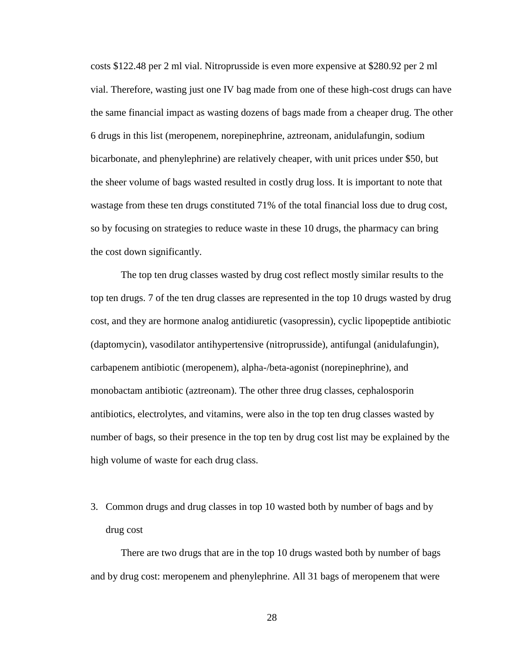costs \$122.48 per 2 ml vial. Nitroprusside is even more expensive at \$280.92 per 2 ml vial. Therefore, wasting just one IV bag made from one of these high-cost drugs can have the same financial impact as wasting dozens of bags made from a cheaper drug. The other 6 drugs in this list (meropenem, norepinephrine, aztreonam, anidulafungin, sodium bicarbonate, and phenylephrine) are relatively cheaper, with unit prices under \$50, but the sheer volume of bags wasted resulted in costly drug loss. It is important to note that wastage from these ten drugs constituted 71% of the total financial loss due to drug cost, so by focusing on strategies to reduce waste in these 10 drugs, the pharmacy can bring the cost down significantly.

The top ten drug classes wasted by drug cost reflect mostly similar results to the top ten drugs. 7 of the ten drug classes are represented in the top 10 drugs wasted by drug cost, and they are hormone analog antidiuretic (vasopressin), cyclic lipopeptide antibiotic (daptomycin), vasodilator antihypertensive (nitroprusside), antifungal (anidulafungin), carbapenem antibiotic (meropenem), alpha-/beta-agonist (norepinephrine), and monobactam antibiotic (aztreonam). The other three drug classes, cephalosporin antibiotics, electrolytes, and vitamins, were also in the top ten drug classes wasted by number of bags, so their presence in the top ten by drug cost list may be explained by the high volume of waste for each drug class.

3. Common drugs and drug classes in top 10 wasted both by number of bags and by drug cost

There are two drugs that are in the top 10 drugs wasted both by number of bags and by drug cost: meropenem and phenylephrine. All 31 bags of meropenem that were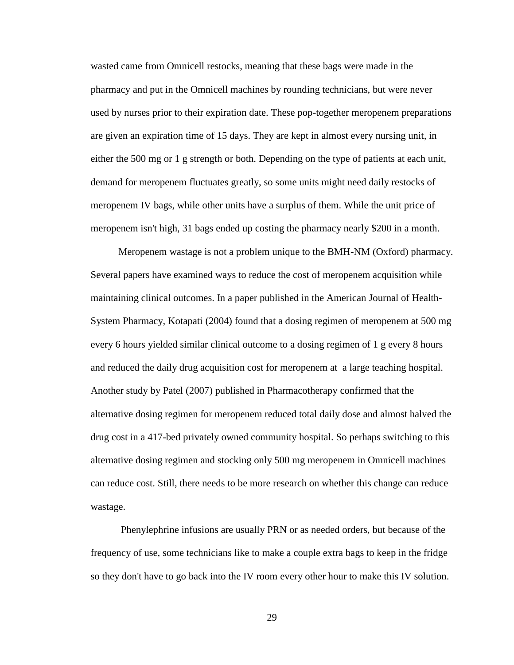wasted came from Omnicell restocks, meaning that these bags were made in the pharmacy and put in the Omnicell machines by rounding technicians, but were never used by nurses prior to their expiration date. These pop-together meropenem preparations are given an expiration time of 15 days. They are kept in almost every nursing unit, in either the 500 mg or 1 g strength or both. Depending on the type of patients at each unit, demand for meropenem fluctuates greatly, so some units might need daily restocks of meropenem IV bags, while other units have a surplus of them. While the unit price of meropenem isn't high, 31 bags ended up costing the pharmacy nearly \$200 in a month.

Meropenem wastage is not a problem unique to the BMH-NM (Oxford) pharmacy. Several papers have examined ways to reduce the cost of meropenem acquisition while maintaining clinical outcomes. In a paper published in the American Journal of Health-System Pharmacy, Kotapati (2004) found that a dosing regimen of meropenem at 500 mg every 6 hours yielded similar clinical outcome to a dosing regimen of 1 g every 8 hours and reduced the daily drug acquisition cost for meropenem at a large teaching hospital. Another study by Patel (2007) published in Pharmacotherapy confirmed that the alternative dosing regimen for meropenem reduced total daily dose and almost halved the drug cost in a 417-bed privately owned community hospital. So perhaps switching to this alternative dosing regimen and stocking only 500 mg meropenem in Omnicell machines can reduce cost. Still, there needs to be more research on whether this change can reduce wastage.

Phenylephrine infusions are usually PRN or as needed orders, but because of the frequency of use, some technicians like to make a couple extra bags to keep in the fridge so they don't have to go back into the IV room every other hour to make this IV solution.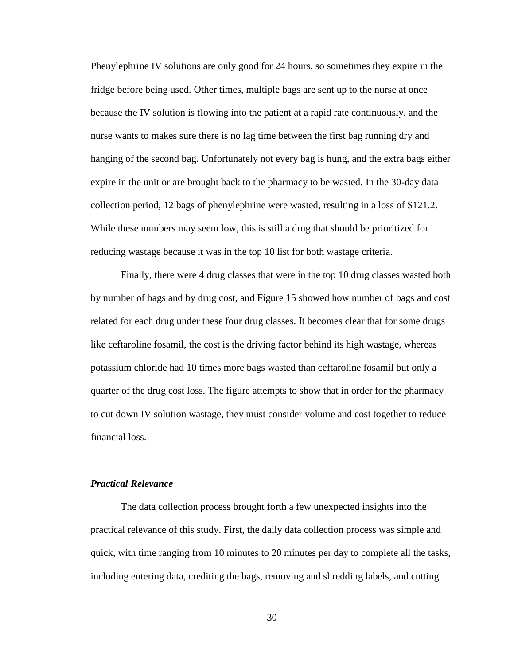Phenylephrine IV solutions are only good for 24 hours, so sometimes they expire in the fridge before being used. Other times, multiple bags are sent up to the nurse at once because the IV solution is flowing into the patient at a rapid rate continuously, and the nurse wants to makes sure there is no lag time between the first bag running dry and hanging of the second bag. Unfortunately not every bag is hung, and the extra bags either expire in the unit or are brought back to the pharmacy to be wasted. In the 30-day data collection period, 12 bags of phenylephrine were wasted, resulting in a loss of \$121.2. While these numbers may seem low, this is still a drug that should be prioritized for reducing wastage because it was in the top 10 list for both wastage criteria.

Finally, there were 4 drug classes that were in the top 10 drug classes wasted both by number of bags and by drug cost, and Figure 15 showed how number of bags and cost related for each drug under these four drug classes. It becomes clear that for some drugs like ceftaroline fosamil, the cost is the driving factor behind its high wastage, whereas potassium chloride had 10 times more bags wasted than ceftaroline fosamil but only a quarter of the drug cost loss. The figure attempts to show that in order for the pharmacy to cut down IV solution wastage, they must consider volume and cost together to reduce financial loss.

## *Practical Relevance*

The data collection process brought forth a few unexpected insights into the practical relevance of this study. First, the daily data collection process was simple and quick, with time ranging from 10 minutes to 20 minutes per day to complete all the tasks, including entering data, crediting the bags, removing and shredding labels, and cutting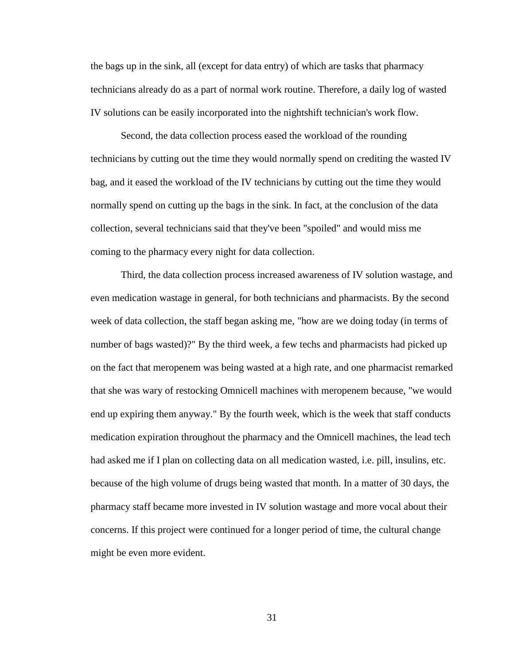the bags up in the sink, all (except for data entry) of which are tasks that pharmacy technicians already do as a part of normal work routine. Therefore, a daily log of wasted IV solutions can be easily incorporated into the nightshift technician's work flow.

Second, the data collection process eased the workload of the rounding technicians by cutting out the time they would normally spend on crediting the wasted IV bag, and it eased the workload of the IV technicians by cutting out the time they would normally spend on cutting up the bags in the sink. In fact, at the conclusion of the data collection, several technicians said that they've been "spoiled" and would miss me coming to the pharmacy every night for data collection.

Third, the data collection process increased awareness of IV solution wastage, and even medication wastage in general, for both technicians and pharmacists. By the second week of data collection, the staff began asking me, "how are we doing today (in terms of number of bags wasted)?" By the third week, a few techs and pharmacists had picked up on the fact that meropenem was being wasted at a high rate, and one pharmacist remarked that she was wary of restocking Omnicell machines with meropenem because, "we would end up expiring them anyway." By the fourth week, which is the week that staff conducts medication expiration throughout the pharmacy and the Omnicell machines, the lead tech had asked me if I plan on collecting data on all medication wasted, i.e. pill, insulins, etc. because of the high volume of drugs being wasted that month. In a matter of 30 days, the pharmacy staff became more invested in IV solution wastage and more vocal about their concerns. If this project were continued for a longer period of time, the cultural change might be even more evident.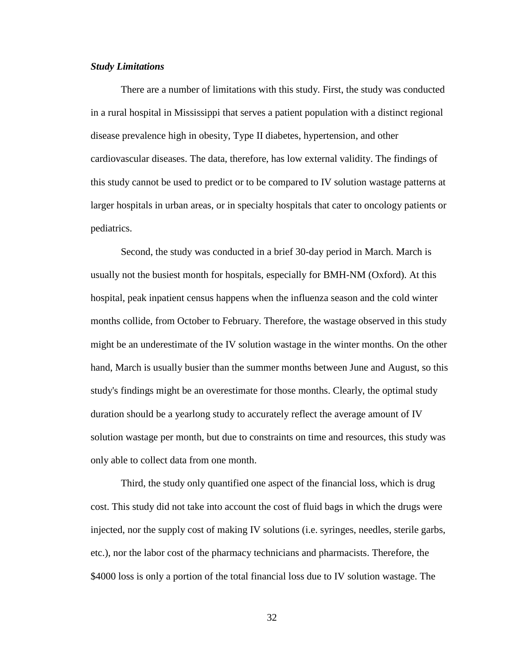## *Study Limitations*

There are a number of limitations with this study. First, the study was conducted in a rural hospital in Mississippi that serves a patient population with a distinct regional disease prevalence high in obesity, Type II diabetes, hypertension, and other cardiovascular diseases. The data, therefore, has low external validity. The findings of this study cannot be used to predict or to be compared to IV solution wastage patterns at larger hospitals in urban areas, or in specialty hospitals that cater to oncology patients or pediatrics.

Second, the study was conducted in a brief 30-day period in March. March is usually not the busiest month for hospitals, especially for BMH-NM (Oxford). At this hospital, peak inpatient census happens when the influenza season and the cold winter months collide, from October to February. Therefore, the wastage observed in this study might be an underestimate of the IV solution wastage in the winter months. On the other hand, March is usually busier than the summer months between June and August, so this study's findings might be an overestimate for those months. Clearly, the optimal study duration should be a yearlong study to accurately reflect the average amount of IV solution wastage per month, but due to constraints on time and resources, this study was only able to collect data from one month.

Third, the study only quantified one aspect of the financial loss, which is drug cost. This study did not take into account the cost of fluid bags in which the drugs were injected, nor the supply cost of making IV solutions (i.e. syringes, needles, sterile garbs, etc.), nor the labor cost of the pharmacy technicians and pharmacists. Therefore, the \$4000 loss is only a portion of the total financial loss due to IV solution wastage. The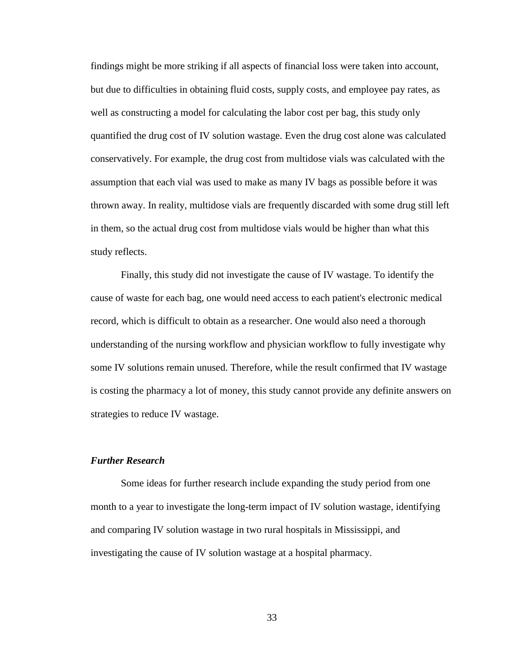findings might be more striking if all aspects of financial loss were taken into account, but due to difficulties in obtaining fluid costs, supply costs, and employee pay rates, as well as constructing a model for calculating the labor cost per bag, this study only quantified the drug cost of IV solution wastage. Even the drug cost alone was calculated conservatively. For example, the drug cost from multidose vials was calculated with the assumption that each vial was used to make as many IV bags as possible before it was thrown away. In reality, multidose vials are frequently discarded with some drug still left in them, so the actual drug cost from multidose vials would be higher than what this study reflects.

Finally, this study did not investigate the cause of IV wastage. To identify the cause of waste for each bag, one would need access to each patient's electronic medical record, which is difficult to obtain as a researcher. One would also need a thorough understanding of the nursing workflow and physician workflow to fully investigate why some IV solutions remain unused. Therefore, while the result confirmed that IV wastage is costing the pharmacy a lot of money, this study cannot provide any definite answers on strategies to reduce IV wastage.

## *Further Research*

Some ideas for further research include expanding the study period from one month to a year to investigate the long-term impact of IV solution wastage, identifying and comparing IV solution wastage in two rural hospitals in Mississippi, and investigating the cause of IV solution wastage at a hospital pharmacy.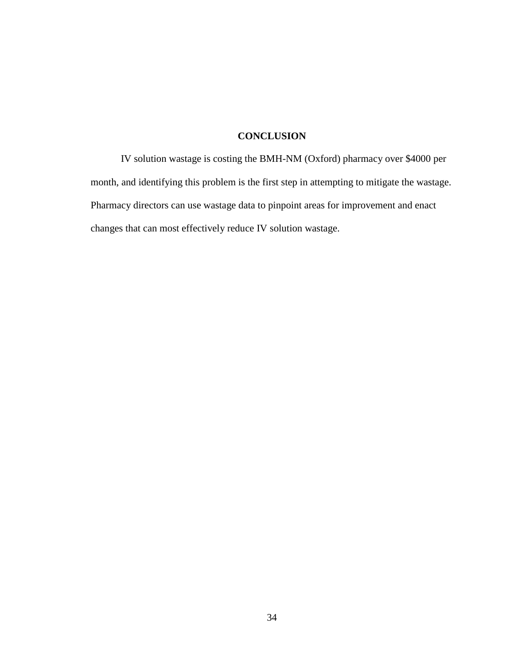## **CONCLUSION**

IV solution wastage is costing the BMH-NM (Oxford) pharmacy over \$4000 per month, and identifying this problem is the first step in attempting to mitigate the wastage. Pharmacy directors can use wastage data to pinpoint areas for improvement and enact changes that can most effectively reduce IV solution wastage.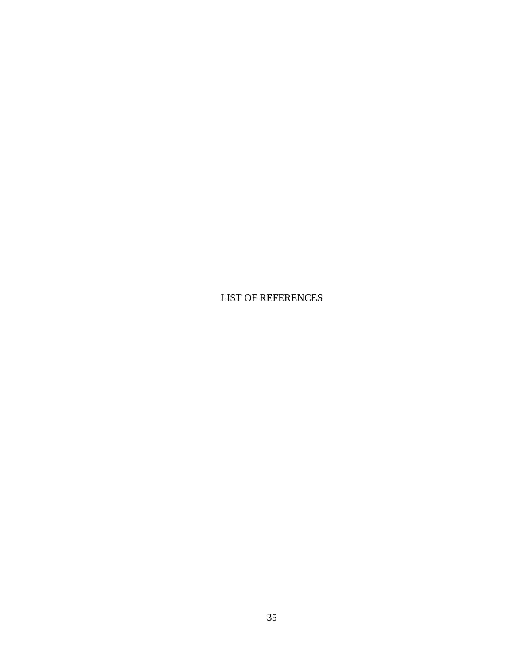LIST OF REFERENCES